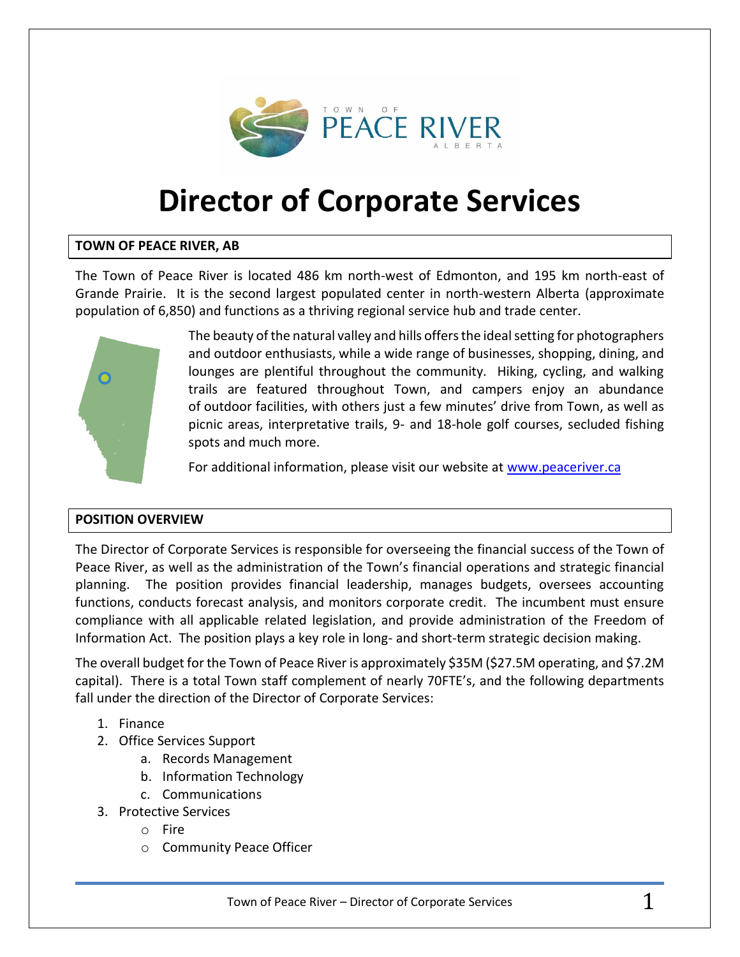

# **Director of Corporate Services**

# **TOWN OF PEACE RIVER, AB**

The Town of Peace River is located 486 km north-west of Edmonton, and 195 km north-east of Grande Prairie. It is the second largest populated center in north-western Alberta (approximate population of 6,850) and functions as a thriving regional service hub and trade center.



The beauty of the natural valley and hills offers the ideal setting for photographers and outdoor enthusiasts, while a wide range of businesses, shopping, dining, and lounges are plentiful throughout the community. Hiking, cycling, and walking trails are featured throughout Town, and campers enjoy an abundance of outdoor facilities, with others just a few minutes' drive from Town, as well as picnic areas, interpretative trails, 9- and 18-hole golf courses, secluded fishing spots and much more.

For additional information, please visit our website at [www.peaceriver.ca](http://www.peaceriver.ca/)

# **POSITION OVERVIEW**

The Director of Corporate Services is responsible for overseeing the financial success of the Town of Peace River, as well as the administration of the Town's financial operations and strategic financial planning. The position provides financial leadership, manages budgets, oversees accounting functions, conducts forecast analysis, and monitors corporate credit. The incumbent must ensure compliance with all applicable related legislation, and provide administration of the Freedom of Information Act. The position plays a key role in long- and short-term strategic decision making.

The overall budget for the Town of Peace River is approximately \$35M (\$27.5M operating, and \$7.2M capital). There is a total Town staff complement of nearly 70FTE's, and the following departments fall under the direction of the Director of Corporate Services:

- 1. Finance
- 2. Office Services Support
	- a. Records Management
	- b. Information Technology
	- c. Communications
- 3. Protective Services
	- o Fire
	- o Community Peace Officer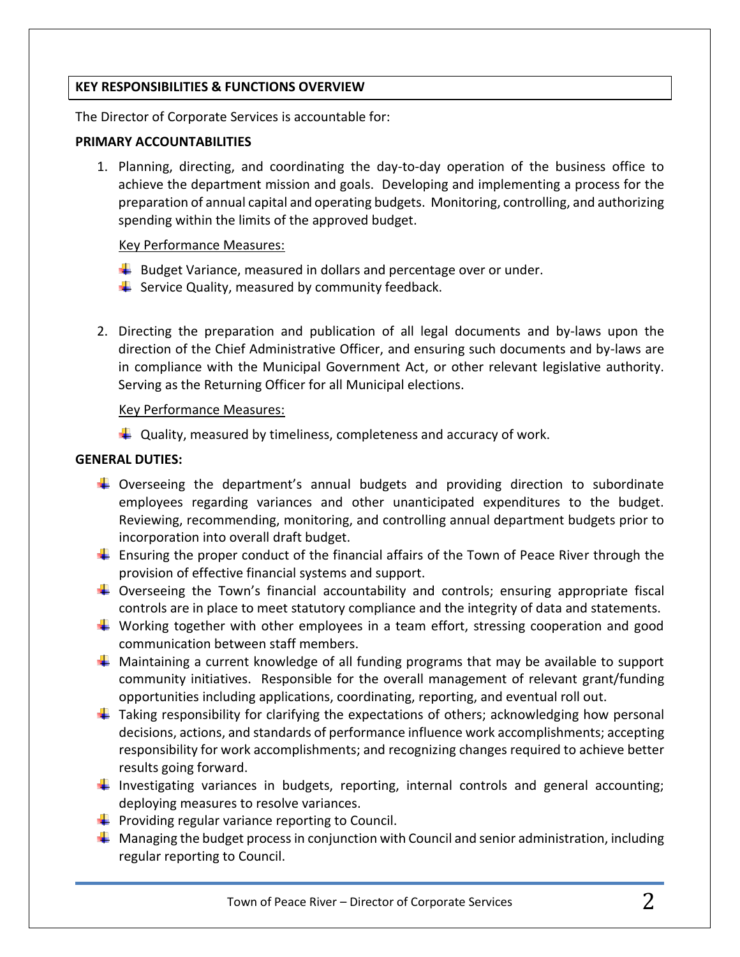#### **KEY RESPONSIBILITIES & FUNCTIONS OVERVIEW**

The Director of Corporate Services is accountable for:

#### **PRIMARY ACCOUNTABILITIES**

1. Planning, directing, and coordinating the day-to-day operation of the business office to achieve the department mission and goals. Developing and implementing a process for the preparation of annual capital and operating budgets. Monitoring, controlling, and authorizing spending within the limits of the approved budget.

#### Key Performance Measures:

- $\downarrow$  Budget Variance, measured in dollars and percentage over or under.
- $\frac{1}{2}$  Service Quality, measured by community feedback.
- 2. Directing the preparation and publication of all legal documents and by-laws upon the direction of the Chief Administrative Officer, and ensuring such documents and by-laws are in compliance with the Municipal Government Act, or other relevant legislative authority. Serving as the Returning Officer for all Municipal elections.

#### Key Performance Measures:

 $\downarrow$  Quality, measured by timeliness, completeness and accuracy of work.

# **GENERAL DUTIES:**

- $\downarrow$  Overseeing the department's annual budgets and providing direction to subordinate employees regarding variances and other unanticipated expenditures to the budget. Reviewing, recommending, monitoring, and controlling annual department budgets prior to incorporation into overall draft budget.
- **Ensuring the proper conduct of the financial affairs of the Town of Peace River through the** provision of effective financial systems and support.
- $\ddot{\phantom{1}}$  Overseeing the Town's financial accountability and controls; ensuring appropriate fiscal controls are in place to meet statutory compliance and the integrity of data and statements.
- Working together with other employees in a team effort, stressing cooperation and good communication between staff members.
- $\downarrow$  Maintaining a current knowledge of all funding programs that may be available to support community initiatives. Responsible for the overall management of relevant grant/funding opportunities including applications, coordinating, reporting, and eventual roll out.
- $\ddot{\phantom{1}}$  Taking responsibility for clarifying the expectations of others; acknowledging how personal decisions, actions, and standards of performance influence work accomplishments; accepting responsibility for work accomplishments; and recognizing changes required to achieve better results going forward.
- Investigating variances in budgets, reporting, internal controls and general accounting; deploying measures to resolve variances.
- $\downarrow$  Providing regular variance reporting to Council.
- $\perp$  Managing the budget process in conjunction with Council and senior administration, including regular reporting to Council.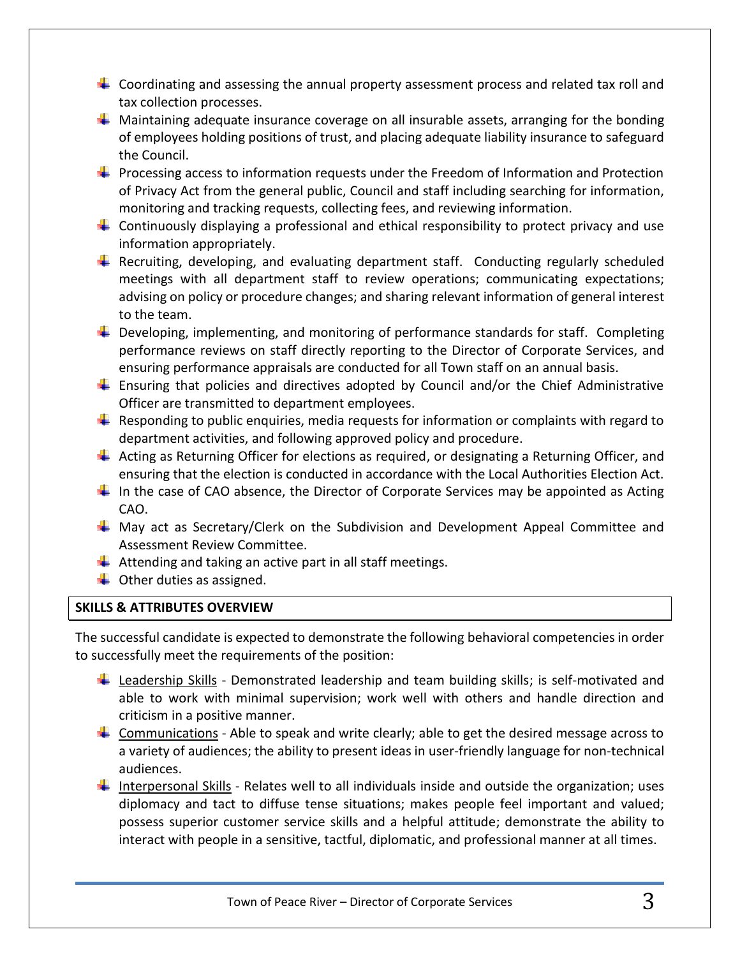- $\ddot{\phantom{1}}$  Coordinating and assessing the annual property assessment process and related tax roll and tax collection processes.
- $\ddot$  Maintaining adequate insurance coverage on all insurable assets, arranging for the bonding of employees holding positions of trust, and placing adequate liability insurance to safeguard the Council.
- $\ddot{+}$  Processing access to information requests under the Freedom of Information and Protection of Privacy Act from the general public, Council and staff including searching for information, monitoring and tracking requests, collecting fees, and reviewing information.
- **L** Continuously displaying a professional and ethical responsibility to protect privacy and use information appropriately.
- **F** Recruiting, developing, and evaluating department staff. Conducting regularly scheduled meetings with all department staff to review operations; communicating expectations; advising on policy or procedure changes; and sharing relevant information of general interest to the team.
- $\ddot{+}$  Developing, implementing, and monitoring of performance standards for staff. Completing performance reviews on staff directly reporting to the Director of Corporate Services, and ensuring performance appraisals are conducted for all Town staff on an annual basis.
- $\ddot$  Ensuring that policies and directives adopted by Council and/or the Chief Administrative Officer are transmitted to department employees.
- $\ddot{\phantom{1}}$  Responding to public enquiries, media requests for information or complaints with regard to department activities, and following approved policy and procedure.
- $\pm$  Acting as Returning Officer for elections as required, or designating a Returning Officer, and ensuring that the election is conducted in accordance with the Local Authorities Election Act.
- In the case of CAO absence, the Director of Corporate Services may be appointed as Acting CAO.
- **H** May act as Secretary/Clerk on the Subdivision and Development Appeal Committee and Assessment Review Committee.
- $\frac{1}{2}$  Attending and taking an active part in all staff meetings.
- $\downarrow$  Other duties as assigned.

# **SKILLS & ATTRIBUTES OVERVIEW**

The successful candidate is expected to demonstrate the following behavioral competencies in order to successfully meet the requirements of the position:

- **Leadership Skills Demonstrated leadership and team building skills; is self-motivated and** able to work with minimal supervision; work well with others and handle direction and criticism in a positive manner.
- $\downarrow$  Communications Able to speak and write clearly; able to get the desired message across to a variety of audiences; the ability to present ideas in user-friendly language for non-technical audiences.
- Interpersonal Skills Relates well to all individuals inside and outside the organization; uses diplomacy and tact to diffuse tense situations; makes people feel important and valued; possess superior customer service skills and a helpful attitude; demonstrate the ability to interact with people in a sensitive, tactful, diplomatic, and professional manner at all times.